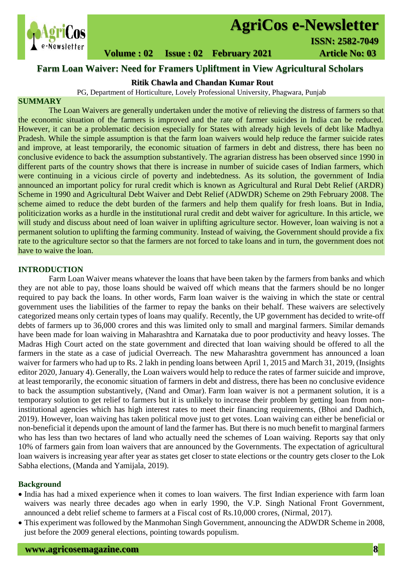

# **AgriCos e-Newsletter**

## **Volume : 02 Issue : 02 February 2021 4rticle No: 03**

# **Farm Loan Waiver: Need for Framers Upliftment in View Agricultural Scholars**

## **Ritik Chawla and Chandan Kumar Rout**

PG, Department of Horticulture, Lovely Professional University, Phagwara, Punjab

### **SUMMARY**

 The Loan Waivers are generally undertaken under the motive of relieving the distress of farmers so that the economic situation of the farmers is improved and the rate of farmer suicides in India can be reduced. However, it can be a problematic decision especially for States with already high levels of debt like Madhya Pradesh. While the simple assumption is that the farm loan waivers would help reduce the farmer suicide rates and improve, at least temporarily, the economic situation of farmers in debt and distress, there has been no conclusive evidence to back the assumption substantively. The agrarian distress has been observed since 1990 in different parts of the country shows that there is increase in number of suicide cases of Indian farmers, which were continuing in a vicious circle of poverty and indebtedness. As its solution, the government of India announced an important policy for rural credit which is known as Agricultural and Rural Debt Relief (ARDR) Scheme in 1990 and Agricultural Debt Waiver and Debt Relief (ADWDR) Scheme on 29th February 2008. The scheme aimed to reduce the debt burden of the farmers and help them qualify for fresh loans. But in India, politicization works as a hurdle in the institutional rural credit and debt waiver for agriculture. In this article, we will study and discuss about need of loan waiver in uplifting agriculture sector. However, loan waiving is not a permanent solution to uplifting the farming community. Instead of waiving, the Government should provide a fix rate to the agriculture sector so that the farmers are not forced to take loans and in turn, the government does not have to waive the loan.

#### **INTRODUCTION**

Farm Loan Waiver means whatever the loans that have been taken by the farmers from banks and which they are not able to pay, those loans should be waived off which means that the farmers should be no longer required to pay back the loans. In other words, Farm loan waiver is the waiving in which the state or central government uses the liabilities of the farmer to repay the banks on their behalf. These waivers are selectively categorized means only certain types of loans may qualify. Recently, the UP government has decided to write-off debts of farmers up to 36,000 crores and this was limited only to small and marginal farmers. Similar demands have been made for loan waiving in Maharashtra and Karnataka due to poor productivity and heavy losses. The Madras High Court acted on the state government and directed that loan waiving should be offered to all the farmers in the state as a case of judicial Overreach. The new Maharashtra government has announced a loan waiver for farmers who had up to Rs. 2 lakh in pending loans between April 1, 2015 and March 31, 2019, (Insights editor 2020, January 4). Generally, the Loan waivers would help to reduce the rates of farmer suicide and improve, at least temporarily, the economic situation of farmers in debt and distress, there has been no conclusive evidence to back the assumption substantively, (Nand and Omar). Farm loan waiver is not a permanent solution, it is a temporary solution to get relief to farmers but it is unlikely to increase their problem by getting loan from noninstitutional agencies which has high interest rates to meet their financing requirements, (Bhoi and Dadhich, 2019). However, loan waiving has taken political move just to get votes. Loan waiving can either be beneficial or non-beneficial it depends upon the amount of land the farmer has. But there is no much benefit to marginal farmers who has less than two hectares of land who actually need the schemes of Loan waiving. Reports say that only 10% of farmers gain from loan waivers that are announced by the Governments. The expectation of agricultural loan waivers is increasing year after year as states get closer to state elections or the country gets closer to the Lok Sabha elections, (Manda and Yamijala, 2019).

#### **Background**

- India has had a mixed experience when it comes to loan waivers. The first Indian experience with farm loan waivers was nearly three decades ago when in early 1990, the V.P. Singh National Front Government, announced a debt relief scheme to farmers at a Fiscal cost of Rs.10,000 crores, (Nirmal, 2017).
- This experiment was followed by the Manmohan Singh Government, announcing the ADWDR Scheme in 2008, just before the 2009 general elections, pointing towards populism.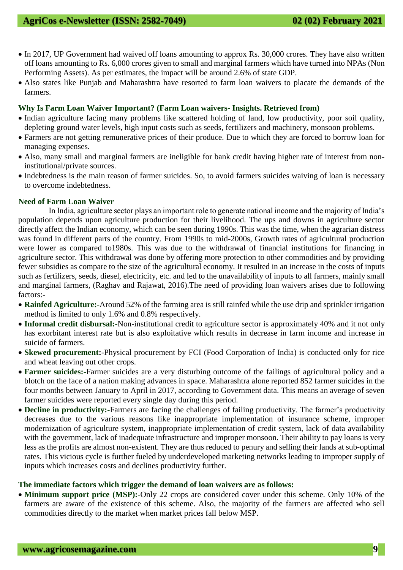- In 2017, UP Government had waived off loans amounting to approx Rs. 30,000 crores. They have also written off loans amounting to Rs. 6,000 crores given to small and marginal farmers which have turned into NPAs (Non Performing Assets). As per estimates, the impact will be around 2.6% of state GDP.
- Also states like Punjab and Maharashtra have resorted to farm loan waivers to placate the demands of the farmers.

### **Why Is Farm Loan Waiver Important? (Farm Loan waivers- Insights. Retrieved from)**

- Indian agriculture facing many problems like scattered holding of land, low productivity, poor soil quality, depleting ground water levels, high input costs such as seeds, fertilizers and machinery, monsoon problems.
- Farmers are not getting remunerative prices of their produce. Due to which they are forced to borrow loan for managing expenses.
- Also, many small and marginal farmers are ineligible for bank credit having higher rate of interest from noninstitutional/private sources.
- Indebtedness is the main reason of farmer suicides. So, to avoid farmers suicides waiving of loan is necessary to overcome indebtedness.

### **Need of Farm Loan Waiver**

In India, agriculture sector plays an important role to generate national income and the majority of India's population depends upon agriculture production for their livelihood. The ups and downs in agriculture sector directly affect the Indian economy, which can be seen during 1990s. This was the time, when the agrarian distress was found in different parts of the country. From 1990s to mid-2000s, Growth rates of agricultural production were lower as compared to1980s. This was due to the withdrawal of financial institutions for financing in agriculture sector. This withdrawal was done by offering more protection to other commodities and by providing fewer subsidies as compare to the size of the agricultural economy. It resulted in an increase in the costs of inputs such as fertilizers, seeds, diesel, electricity, etc. and led to the unavailability of inputs to all farmers, mainly small and marginal farmers, (Raghav and Rajawat, 2016).The need of providing loan waivers arises due to following factors:-

- **Rainfed Agriculture:-**Around 52% of the farming area is still rainfed while the use drip and sprinkler irrigation method is limited to only 1.6% and 0.8% respectively.
- **Informal credit disbursal:-**Non-institutional credit to agriculture sector is approximately 40% and it not only has exorbitant interest rate but is also exploitative which results in decrease in farm income and increase in suicide of farmers.
- **Skewed procurement:-**Physical procurement by FCI (Food Corporation of India) is conducted only for rice and wheat leaving out other crops.
- **Farmer suicides:-**Farmer suicides are a very disturbing outcome of the failings of agricultural policy and a blotch on the face of a nation making advances in space. Maharashtra alone reported 852 farmer suicides in the four months between January to April in 2017, according to Government data. This means an average of seven farmer suicides were reported every single day during this period.
- **Decline in productivity:-**Farmers are facing the challenges of failing productivity. The farmer's productivity decreases due to the various reasons like inappropriate implementation of insurance scheme, improper modernization of agriculture system, inappropriate implementation of credit system, lack of data availability with the government, lack of inadequate infrastructure and improper monsoon. Their ability to pay loans is very less as the profits are almost non-existent. They are thus reduced to penury and selling their lands at sub-optimal rates. This vicious cycle is further fueled by underdeveloped marketing networks leading to improper supply of inputs which increases costs and declines productivity further.

#### **The immediate factors which trigger the demand of loan waivers are as follows:**

 **Minimum support price (MSP):-**Only 22 crops are considered cover under this scheme. Only 10% of the farmers are aware of the existence of this scheme. Also, the majority of the farmers are affected who sell commodities directly to the market when market prices fall below MSP.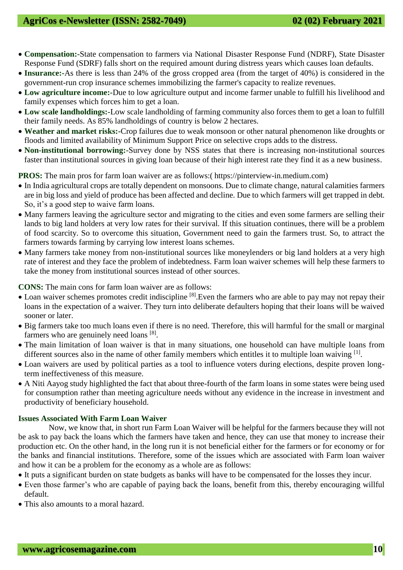- **Compensation:-**State compensation to farmers via National Disaster Response Fund (NDRF), State Disaster Response Fund (SDRF) falls short on the required amount during distress years which causes loan defaults.
- **Insurance:-**As there is less than 24% of the gross cropped area (from the target of 40%) is considered in the government-run crop insurance schemes immobilizing the farmer's capacity to realize revenues.
- **Low agriculture income:-**Due to low agriculture output and income farmer unable to fulfill his livelihood and family expenses which forces him to get a loan.
- **Low scale landholdings:-**Low scale landholding of farming community also forces them to get a loan to fulfill their family needs. As 85% landholdings of country is below 2 hectares.
- **Weather and market risks:-**Crop failures due to weak monsoon or other natural phenomenon like droughts or floods and limited availability of Minimum Support Price on selective crops adds to the distress.
- **Non-institutional borrowing:-**Survey done by NSS states that there is increasing non-institutional sources faster than institutional sources in giving loan because of their high interest rate they find it as a new business.

**PROS:** The main pros for farm loan waiver are as follows:( https://pinterview-in.medium.com)

- In India agricultural crops are totally dependent on monsoons. Due to climate change, natural calamities farmers are in big loss and yield of produce has been affected and decline. Due to which farmers will get trapped in debt. So, it's a good step to waive farm loans.
- Many farmers leaving the agriculture sector and migrating to the cities and even some farmers are selling their lands to big land holders at very low rates for their survival. If this situation continues, there will be a problem of food scarcity. So to overcome this situation, Government need to gain the farmers trust. So, to attract the farmers towards farming by carrying low interest loans schemes.
- Many farmers take money from non-institutional sources like moneylenders or big land holders at a very high rate of interest and they face the problem of indebtedness. Farm loan waiver schemes will help these farmers to take the money from institutional sources instead of other sources.

**CONS:** The main cons for farm loan waiver are as follows:

- Loan waiver schemes promotes credit indiscipline [8]. Even the farmers who are able to pay may not repay their loans in the expectation of a waiver. They turn into deliberate defaulters hoping that their loans will be waived sooner or later.
- Big farmers take too much loans even if there is no need. Therefore, this will harmful for the small or marginal farmers who are genuinely need loans [8].
- The main limitation of loan waiver is that in many situations, one household can have multiple loans from different sources also in the name of other family members which entitles it to multiple loan waiving [1].
- Loan waivers are used by political parties as a tool to influence voters during elections, despite proven longterm ineffectiveness of this measure.
- A Niti Aayog study highlighted the fact that about three-fourth of the farm loans in some states were being used for consumption rather than meeting agriculture needs without any evidence in the increase in investment and productivity of beneficiary household.

### **Issues Associated With Farm Loan Waiver**

Now, we know that, in short run Farm Loan Waiver will be helpful for the farmers because they will not be ask to pay back the loans which the farmers have taken and hence, they can use that money to increase their production etc. On the other hand, in the long run it is not beneficial either for the farmers or for economy or for the banks and financial institutions. Therefore, some of the issues which are associated with Farm loan waiver and how it can be a problem for the economy as a whole are as follows:

It puts a significant burden on state budgets as banks will have to be compensated for the losses they incur.

- Even those farmer's who are capable of paying back the loans, benefit from this, thereby encouraging willful default.
- This also amounts to a moral hazard.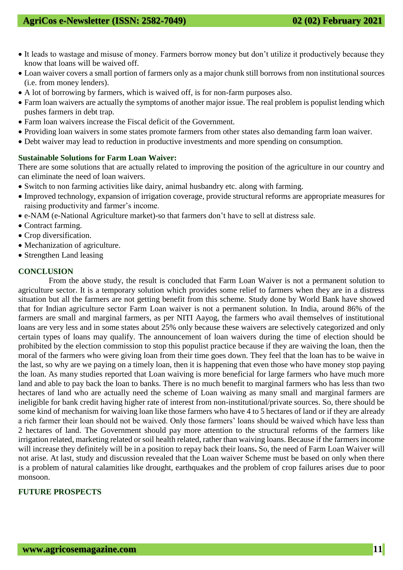- It leads to wastage and misuse of money. Farmers borrow money but don't utilize it productively because they know that loans will be waived off.
- Loan waiver covers a small portion of farmers only as a major chunk still borrows from non institutional sources (i.e. from money lenders).
- A lot of borrowing by farmers, which is waived off, is for non-farm purposes also.
- Farm loan waivers are actually the symptoms of another major issue. The real problem is populist lending which pushes farmers in debt trap.
- Farm loan waivers increase the Fiscal deficit of the Government.
- Providing loan waivers in some states promote farmers from other states also demanding farm loan waiver.
- Debt waiver may lead to reduction in productive investments and more spending on consumption.

#### **Sustainable Solutions for Farm Loan Waiver:**

There are some solutions that are actually related to improving the position of the agriculture in our country and can eliminate the need of loan waivers.

- Switch to non farming activities like dairy, animal husbandry etc. along with farming.
- Improved technology, expansion of irrigation coverage, provide structural reforms are appropriate measures for raising productivity and farmer's income.
- e-NAM (e-National Agriculture market)-so that farmers don't have to sell at distress sale.
- Contract farming.
- Crop diversification.
- Mechanization of agriculture.
- Strengthen Land leasing

### **CONCLUSION**

From the above study, the result is concluded that Farm Loan Waiver is not a permanent solution to agriculture sector. It is a temporary solution which provides some relief to farmers when they are in a distress situation but all the farmers are not getting benefit from this scheme. Study done by World Bank have showed that for Indian agriculture sector Farm Loan waiver is not a permanent solution. In India, around 86% of the farmers are small and marginal farmers, as per NITI Aayog, the farmers who avail themselves of institutional loans are very less and in some states about 25% only because these waivers are selectively categorized and only certain types of loans may qualify. The announcement of loan waivers during the time of election should be prohibited by the election commission to stop this populist practice because if they are waiving the loan, then the moral of the farmers who were giving loan from their time goes down. They feel that the loan has to be waive in the last, so why are we paying on a timely loan, then it is happening that even those who have money stop paying the loan. As many studies reported that Loan waiving is more beneficial for large farmers who have much more land and able to pay back the loan to banks. There is no much benefit to marginal farmers who has less than two hectares of land who are actually need the scheme of Loan waiving as many small and marginal farmers are ineligible for bank credit having higher rate of interest from non-institutional/private sources. So, there should be some kind of mechanism for waiving loan like those farmers who have 4 to 5 hectares of land or if they are already a rich farmer their loan should not be waived. Only those farmers' loans should be waived which have less than 2 hectares of land. The Government should pay more attention to the structural reforms of the farmers like irrigation related, marketing related or soil health related, rather than waiving loans. Because if the farmers income will increase they definitely will be in a position to repay back their loans**.** So, the need of Farm Loan Waiver will not arise. At last, study and discussion revealed that the Loan waiver Scheme must be based on only when there is a problem of natural calamities like drought, earthquakes and the problem of crop failures arises due to poor monsoon.

### **FUTURE PROSPECTS**